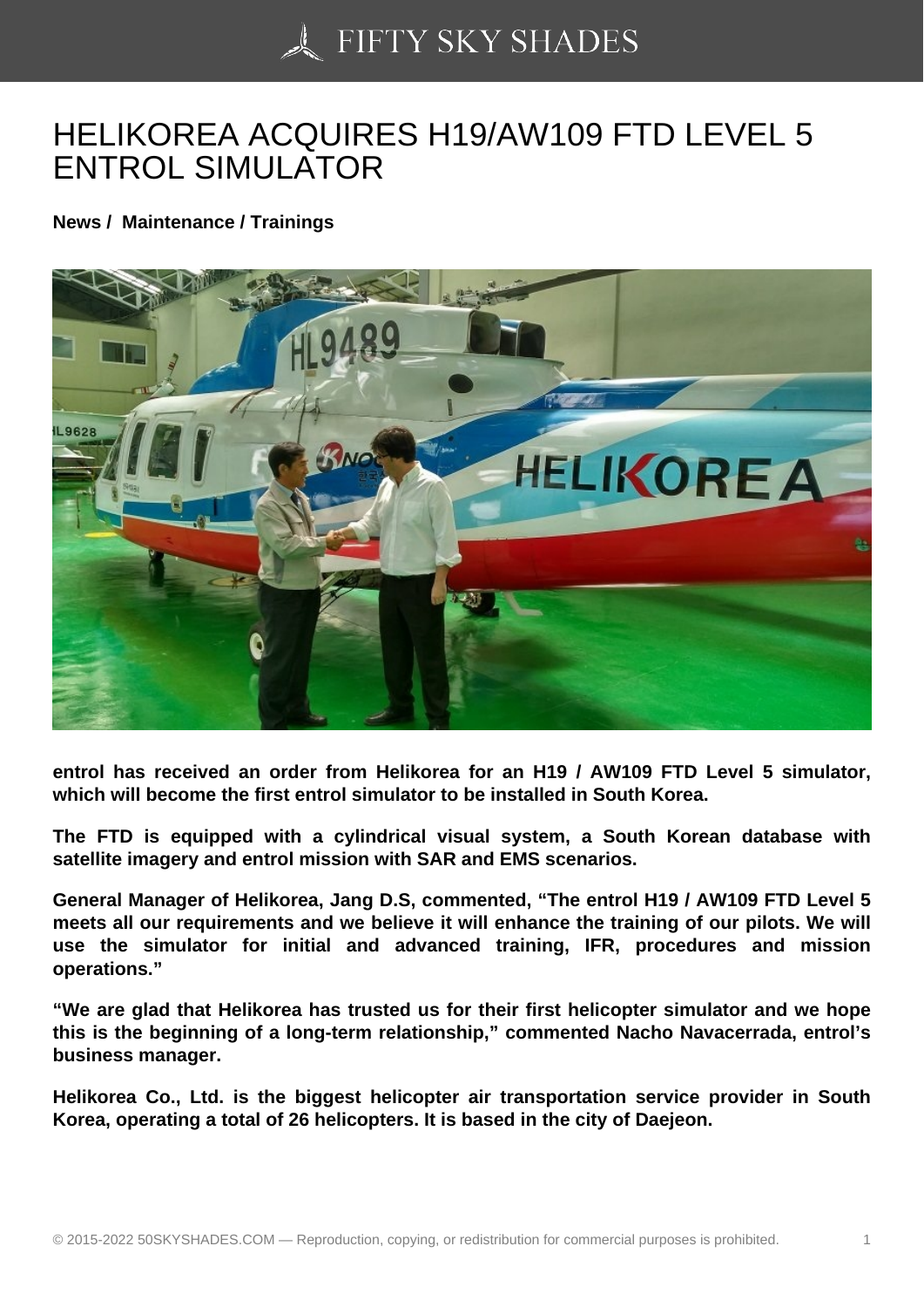## [HELIKOREA ACQUIRE](https://50skyshades.com)S H19/AW109 FTD LEVEL 5 ENTROL SIMULATOR

News / Maintenance / Trainings

entrol has received an order from Helikorea for an H19 / AW109 FTD Level 5 simulator, which will become the first entrol simulator to be installed in South Korea.

The FTD is equipped with a cylindrical visual system, a South Korean database with satellite imagery and entrol mission with SAR and EMS scenarios.

General Manager of Helikorea, Jang D.S, commented, "The entrol H19 / AW109 FTD Level 5 meets all our requirements and we believe it will enhance the training of our pilots. We will use the simulator for initial and advanced training, IFR, procedures and mission operations."

"We are glad that Helikorea has trusted us for their first helicopter simulator and we hope this is the beginning of a long-term relationship," commented Nacho Navacerrada, entrol's business manager.

Helikorea Co., Ltd. is the biggest helicopter air transportation service provider in South Korea, operating a total of 26 helicopters. It is based in the city of Daejeon.